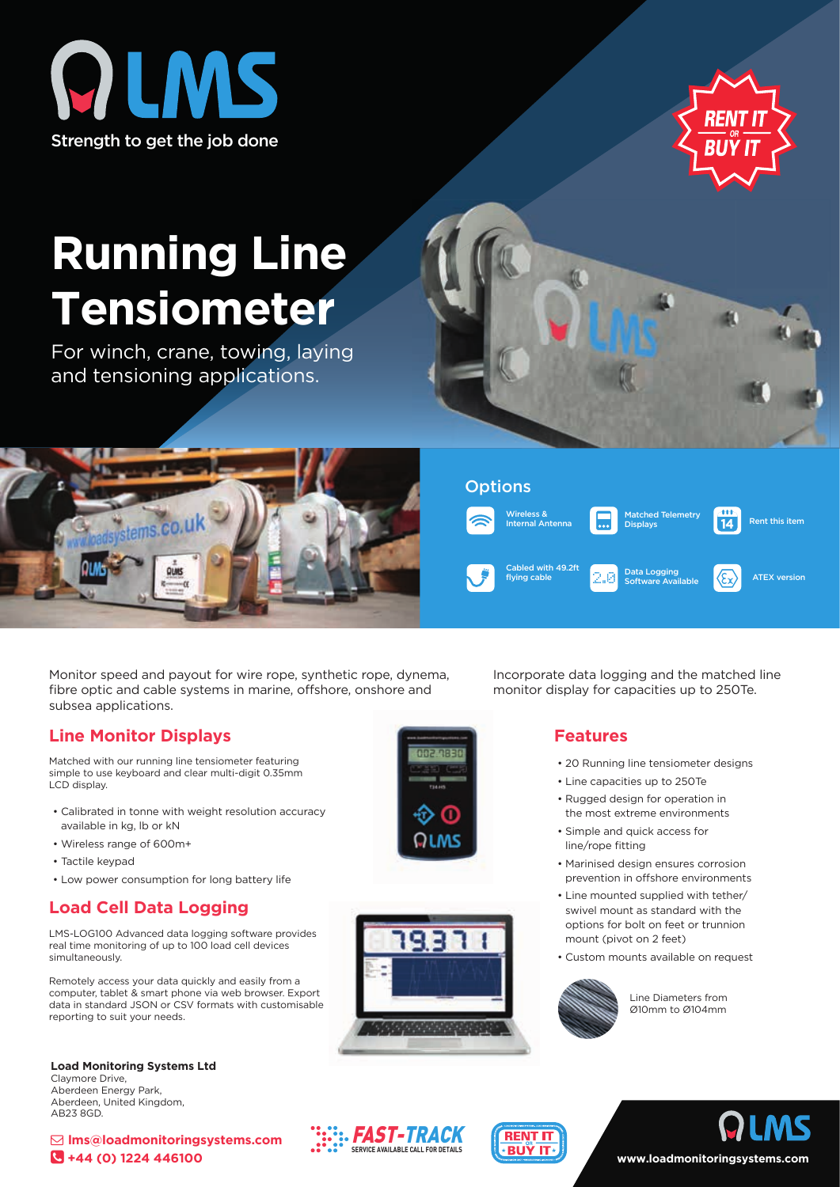



# **Running Line Tensiometer**

For winch, crane, towing, laying and tensioning applications.



Cabled with 49.2ft

Cabled With 49.21t<br> **Flying cable Software Available ATEX version** 

latched Telemetry Displays

Rent this item

-144  $\overline{14}$ 

Monitor speed and payout for wire rope, synthetic rope, dynema, fibre optic and cable systems in marine, offshore, onshore and subsea applications.

## **Line Monitor Displays**

dsystems.co

QUAS

Matched with our running line tensiometer featuring simple to use keyboard and clear multi-digit 0.35mm LCD display.

- Calibrated in tonne with weight resolution accuracy available in kg, lb or kN
- Wireless range of 600m+
- Tactile keypad
- Low power consumption for long battery life

# **Load Cell Data Logging**

LMS-LOG100 Advanced data logging software provides real time monitoring of up to 100 load cell devices simultaneously.

Remotely access your data quickly and easily from a computer, tablet & smart phone via web browser. Export data in standard JSON or CSV formats with customisable reporting to suit your needs.

**Load Monitoring Systems Ltd** Claymore Drive, Aberdeen Energy Park, Aberdeen, United Kingdom, AB23 8GD.



Incorporate data logging and the matched line monitor display for capacities up to 250Te.

### **Features**

- 20 Running line tensiometer designs
- Line capacities up to 250Te
- Rugged design for operation in the most extreme environments
- Simple and quick access for line/rope fitting
- Marinised design ensures corrosion prevention in offshore environments
- Line mounted supplied with tether/ swivel mount as standard with the options for bolt on feet or trunnion mount (pivot on 2 feet)
- Custom mounts available on request



Line Diameters from Ø10mm to Ø104mm